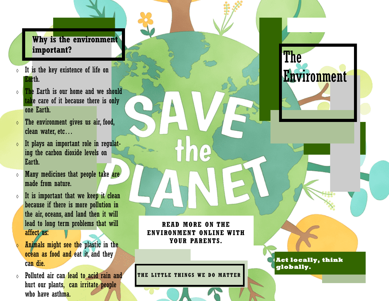# **Why is the environment important?**

- $\circ$  It is the key existence of life on Earth.
- $\circ$  The Earth is our home and we should take care of it because there is only one Earth.
- $\circ$  The environment gives us air, food, clean water, etc…
- $\circ$  It plays an important role in regulating the carbon dioxide levels on Earth.
- $\circ$  Many medicines that people take are made from nature.
- $\circ$  It is important that we keep it clean because if there is more pollution in the air, oceans, and land then it will lead to long term problems that will affect us:
- Animals might see the plastic in the ocean as food and eat it, and they can die.
- Polluted air can lead to acid rain and hurt our plants, can irritate people who have asthma.

**READ MORE ON THE ENVIRONMENT ONLINE WITH YOUR PARENTS.**

۵

**THE LITTLE THINGS WE DO MATTER**

**Act locally, think globally.** 

The

Environment